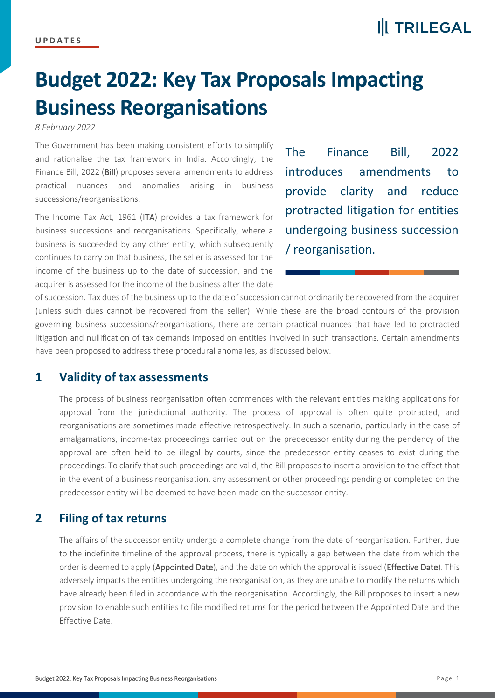## **Budget 2022: Key Tax Proposals Impacting Business Reorganisations**

*8 February 2022*

The Government has been making consistent efforts to simplify and rationalise the tax framework in India. Accordingly, the Finance Bill, 2022 (Bill) proposes several amendments to address practical nuances and anomalies arising in business successions/reorganisations.

The Income Tax Act, 1961 (ITA) provides a tax framework for business successions and reorganisations. Specifically, where a business is succeeded by any other entity, which subsequently continues to carry on that business, the seller is assessed for the income of the business up to the date of succession, and the acquirer is assessed for the income of the business after the date

The Finance Bill, 2022 introduces amendments to provide clarity and reduce protracted litigation for entities undergoing business succession / reorganisation.

of succession. Tax dues of the business up to the date of succession cannot ordinarily be recovered from the acquirer (unless such dues cannot be recovered from the seller). While these are the broad contours of the provision governing business successions/reorganisations, there are certain practical nuances that have led to protracted litigation and nullification of tax demands imposed on entities involved in such transactions. Certain amendments have been proposed to address these procedural anomalies, as discussed below.

## **1 Validity of tax assessments**

The process of business reorganisation often commences with the relevant entities making applications for approval from the jurisdictional authority. The process of approval is often quite protracted, and reorganisations are sometimes made effective retrospectively. In such a scenario, particularly in the case of amalgamations, income-tax proceedings carried out on the predecessor entity during the pendency of the approval are often held to be illegal by courts, since the predecessor entity ceases to exist during the proceedings. To clarify that such proceedings are valid, the Bill proposes to insert a provision to the effect that in the event of a business reorganisation, any assessment or other proceedings pending or completed on the predecessor entity will be deemed to have been made on the successor entity.

## **2 Filing of tax returns**

The affairs of the successor entity undergo a complete change from the date of reorganisation. Further, due to the indefinite timeline of the approval process, there is typically a gap between the date from which the order is deemed to apply (Appointed Date), and the date on which the approval is issued (Effective Date). This adversely impacts the entities undergoing the reorganisation, as they are unable to modify the returns which have already been filed in accordance with the reorganisation. Accordingly, the Bill proposes to insert a new provision to enable such entities to file modified returns for the period between the Appointed Date and the Effective Date.